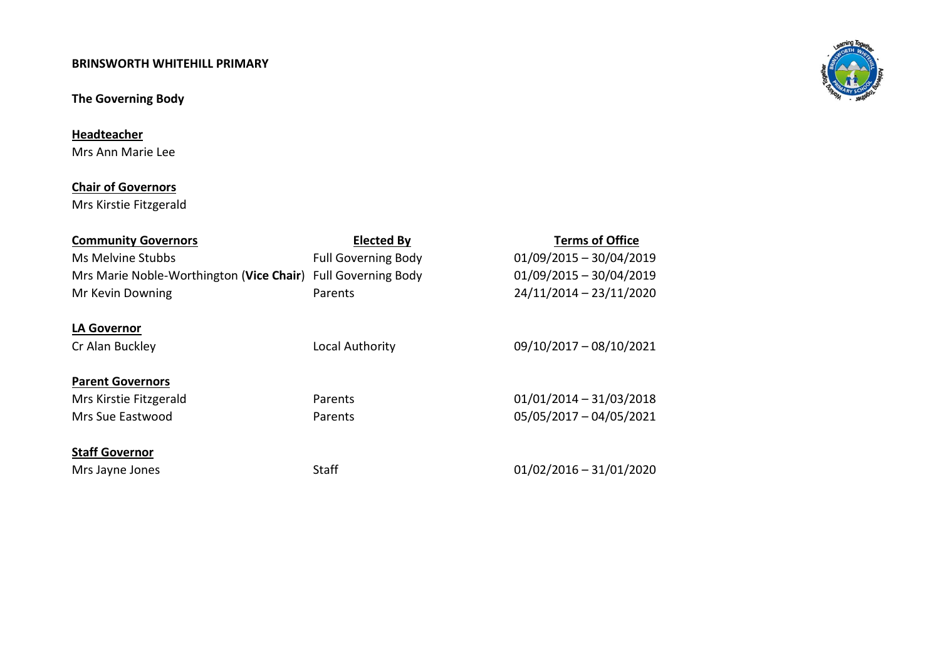### **BRINSWORTH WHITEHILL PRIMARY**

# **The Governing Body**

**Headteacher**

Mrs Ann Marie Lee

# **Chair of Governors**

Mrs Kirstie Fitzgerald

| <b>Community Governors</b>                                   | <b>Elected By</b>          | <b>Terms of Office</b>    |
|--------------------------------------------------------------|----------------------------|---------------------------|
| Ms Melvine Stubbs                                            | <b>Full Governing Body</b> | $01/09/2015 - 30/04/2019$ |
| Mrs Marie Noble-Worthington (Vice Chair) Full Governing Body |                            | $01/09/2015 - 30/04/2019$ |
| Mr Kevin Downing                                             | Parents                    | 24/11/2014 - 23/11/2020   |
|                                                              |                            |                           |
| <b>LA Governor</b>                                           |                            |                           |
| Cr Alan Buckley                                              | Local Authority            | 09/10/2017 - 08/10/2021   |
|                                                              |                            |                           |
| <b>Parent Governors</b>                                      |                            |                           |
| Mrs Kirstie Fitzgerald                                       | Parents                    | $01/01/2014 - 31/03/2018$ |
| Mrs Sue Eastwood                                             | Parents                    | 05/05/2017 - 04/05/2021   |
|                                                              |                            |                           |
| <b>Staff Governor</b>                                        |                            |                           |
| Mrs Jayne Jones                                              | Staff                      | $01/02/2016 - 31/01/2020$ |